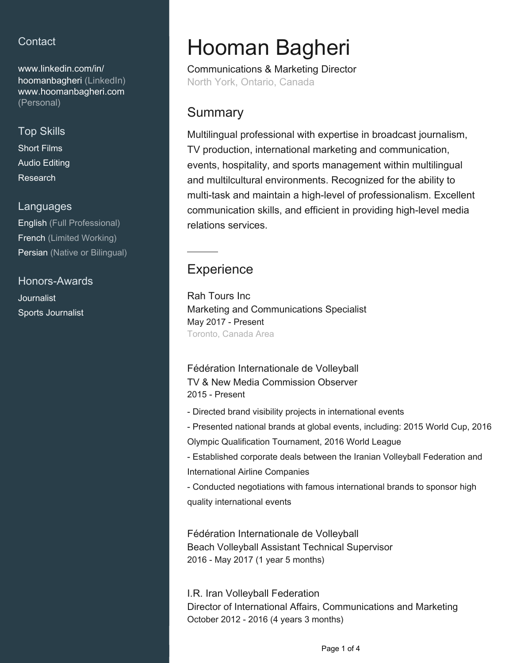## **Contact**

[www.linkedin.com/in/](https://www.linkedin.com/in/hoomanbagheri?jobid=1234&lipi=urn%3Ali%3Apage%3Ad_jobs_easyapply_pdfgenresume%3B9bU7AuEcQwi%2Fiywm%2BQ%2F%2BTQ%3D%3D&licu=urn%3Ali%3Acontrol%3Ad_jobs_easyapply_pdfgenresume-v02_profile) [hoomanbagheri \(LinkedIn\)](https://www.linkedin.com/in/hoomanbagheri?jobid=1234&lipi=urn%3Ali%3Apage%3Ad_jobs_easyapply_pdfgenresume%3B9bU7AuEcQwi%2Fiywm%2BQ%2F%2BTQ%3D%3D&licu=urn%3Ali%3Acontrol%3Ad_jobs_easyapply_pdfgenresume-v02_profile) [www.hoomanbagheri.com](http://www.hoomanbagheri.com) [\(Personal\)](http://www.hoomanbagheri.com)

### Top Skills

Short Films Audio Editing Research

#### Languages

English (Full Professional) French (Limited Working) Persian (Native or Bilingual)

Honors-Awards **Journalist** Sports Journalist

# Hooman Bagheri

Communications & Marketing Director North York, Ontario, Canada

## **Summary**

Multilingual professional with expertise in broadcast journalism, TV production, international marketing and communication, events, hospitality, and sports management within multilingual and multilcultural environments. Recognized for the ability to multi-task and maintain a high-level of professionalism. Excellent communication skills, and efficient in providing high-level media relations services.

## **Experience**

Rah Tours Inc Marketing and Communications Specialist May 2017 - Present Toronto, Canada Area

#### Fédération Internationale de Volleyball TV & New Media Commission Observer 2015 - Present

- Directed brand visibility projects in international events
- Presented national brands at global events, including: 2015 World Cup, 2016
- Olympic Qualification Tournament, 2016 World League
- Established corporate deals between the Iranian Volleyball Federation and International Airline Companies
- Conducted negotiations with famous international brands to sponsor high quality international events

Fédération Internationale de Volleyball Beach Volleyball Assistant Technical Supervisor 2016 - May 2017 (1 year 5 months)

I.R. Iran Volleyball Federation Director of International Affairs, Communications and Marketing October 2012 - 2016 (4 years 3 months)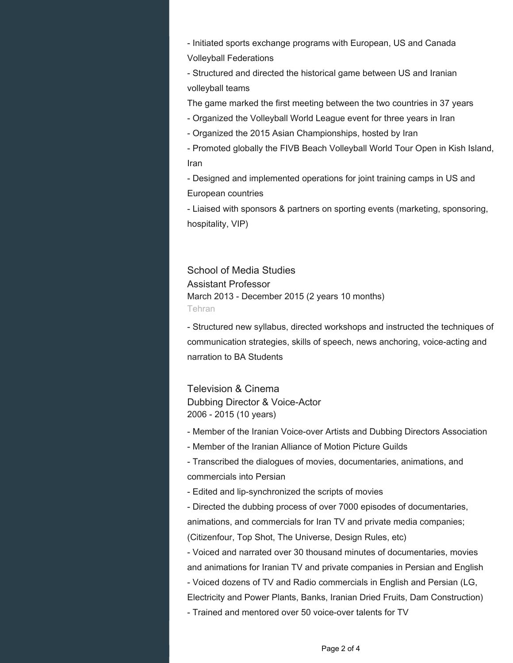- Initiated sports exchange programs with European, US and Canada Volleyball Federations

- Structured and directed the historical game between US and Iranian volleyball teams

The game marked the first meeting between the two countries in 37 years

- Organized the Volleyball World League event for three years in Iran

- Organized the 2015 Asian Championships, hosted by Iran

- Promoted globally the FIVB Beach Volleyball World Tour Open in Kish Island, Iran

- Designed and implemented operations for joint training camps in US and European countries

- Liaised with sponsors & partners on sporting events (marketing, sponsoring, hospitality, VIP)

School of Media Studies Assistant Professor March 2013 - December 2015 (2 years 10 months) Tehran

- Structured new syllabus, directed workshops and instructed the techniques of communication strategies, skills of speech, news anchoring, voice-acting and narration to BA Students

Television & Cinema Dubbing Director & Voice-Actor 2006 - 2015 (10 years)

- Member of the Iranian Voice-over Artists and Dubbing Directors Association

- Member of the Iranian Alliance of Motion Picture Guilds

- Transcribed the dialogues of movies, documentaries, animations, and commercials into Persian

- Edited and lip-synchronized the scripts of movies

- Directed the dubbing process of over 7000 episodes of documentaries,

animations, and commercials for Iran TV and private media companies;

(Citizenfour, Top Shot, The Universe, Design Rules, etc)

- Voiced and narrated over 30 thousand minutes of documentaries, movies and animations for Iranian TV and private companies in Persian and English

- Voiced dozens of TV and Radio commercials in English and Persian (LG,

Electricity and Power Plants, Banks, Iranian Dried Fruits, Dam Construction)

- Trained and mentored over 50 voice-over talents for TV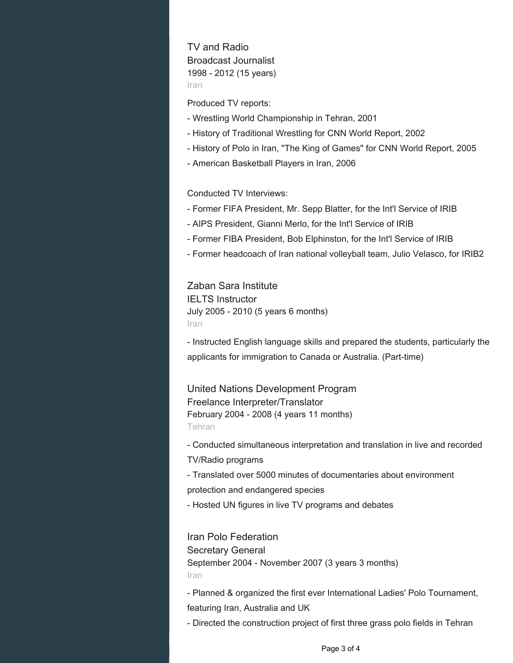TV and Radio Broadcast Journalist 1998 - 2012 (15 years) Iran

Produced TV reports:

- Wrestling World Championship in Tehran, 2001
- History of Traditional Wrestling for CNN World Report, 2002
- History of Polo in Iran, "The King of Games" for CNN World Report, 2005
- American Basketball Players in Iran, 2006

Conducted TV Interviews:

- Former FIFA President, Mr. Sepp Blatter, for the Int'l Service of IRIB
- AIPS President, Gianni Merlo, for the Int'l Service of IRIB
- Former FIBA President, Bob Elphinston, for the Int'l Service of IRIB
- Former headcoach of Iran national volleyball team, Julio Velasco, for IRIB2

Zaban Sara Institute IELTS Instructor July 2005 - 2010 (5 years 6 months) Iran

- Instructed English language skills and prepared the students, particularly the applicants for immigration to Canada or Australia. (Part-time)

United Nations Development Program Freelance Interpreter/Translator February 2004 - 2008 (4 years 11 months) Tehran

- Conducted simultaneous interpretation and translation in live and recorded TV/Radio programs

- Translated over 5000 minutes of documentaries about environment

protection and endangered species

- Hosted UN figures in live TV programs and debates

Iran Polo Federation

Secretary General September 2004 - November 2007 (3 years 3 months) Iran

- Planned & organized the first ever International Ladies' Polo Tournament,

featuring Iran, Australia and UK

- Directed the construction project of first three grass polo fields in Tehran